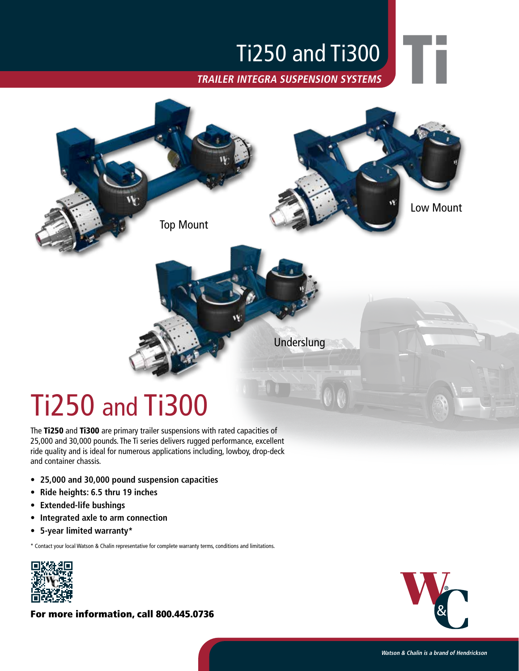## Ti250 and Ti300

**TRAILER INTEGRA SUSPENSION SYSTEMS**



# Ti250 and Ti300

The Ti250 and Ti300 are primary trailer suspensions with rated capacities of 25,000 and 30,000 pounds. The Ti series delivers rugged performance, excellent ride quality and is ideal for numerous applications including, lowboy, drop-deck and container chassis.

- **• 25,000 and 30,000 pound suspension capacities**
- **• Ride heights: 6.5 thru 19 inches**
- **• Extended-life bushings**
- **• Integrated axle to arm connection**
- **• 5-year limited warranty\***

\* Contact your local Watson & Chalin representative for complete warranty terms, conditions and limitations.



For more information, call 800.445.0736



Ti